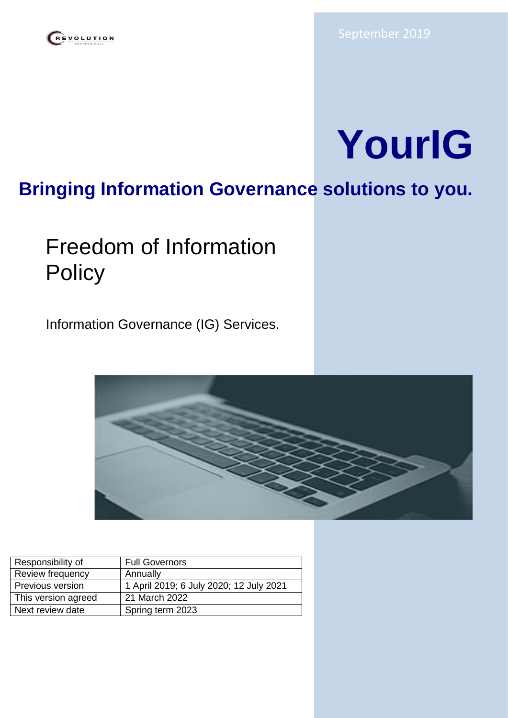## REVOLUTION



## **Bringing Information Governance solutions to you.**

# Freedom of Information **Policy**

Information Governance (IG) Services.



| Responsibility of   | <b>Full Governors</b>                   |
|---------------------|-----------------------------------------|
| Review frequency    | Annually                                |
| Previous version    | 1 April 2019; 6 July 2020; 12 July 2021 |
| This version agreed | 21 March 2022                           |
| Next review date    | Spring term 2023                        |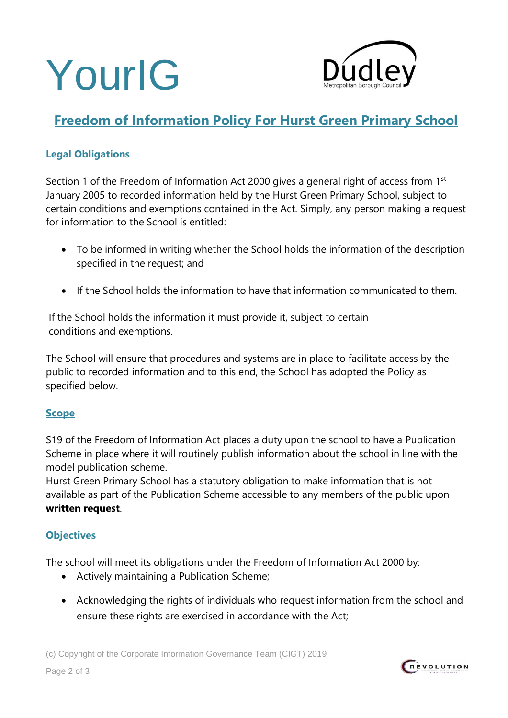



## **Freedom of Information Policy For Hurst Green Primary School**

#### **Legal Obligations**

Section 1 of the Freedom of Information Act 2000 gives a general right of access from 1<sup>st</sup> January 2005 to recorded information held by the Hurst Green Primary School, subject to certain conditions and exemptions contained in the Act. Simply, any person making a request for information to the School is entitled:

- To be informed in writing whether the School holds the information of the description specified in the request; and
- If the School holds the information to have that information communicated to them.

If the School holds the information it must provide it, subject to certain conditions and exemptions.

The School will ensure that procedures and systems are in place to facilitate access by the public to recorded information and to this end, the School has adopted the Policy as specified below.

#### **Scope**

S19 of the Freedom of Information Act places a duty upon the school to have a Publication Scheme in place where it will routinely publish information about the school in line with the model publication scheme.

Hurst Green Primary School has a statutory obligation to make information that is not available as part of the Publication Scheme accessible to any members of the public upon **written request**.

#### **Objectives**

The school will meet its obligations under the Freedom of Information Act 2000 by:

- Actively maintaining a Publication Scheme;
- Acknowledging the rights of individuals who request information from the school and ensure these rights are exercised in accordance with the Act;